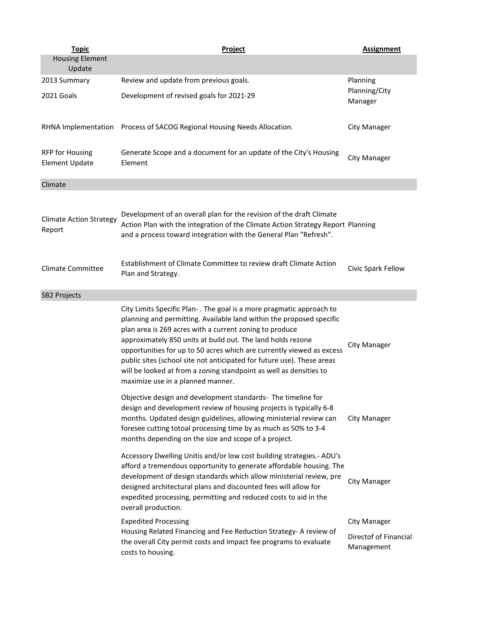| <b>Topic</b>                                    | Project                                                                                                                                                                                                                                                                                                                                                                                                                                                                                                                              | <b>Assignment</b>                                   |
|-------------------------------------------------|--------------------------------------------------------------------------------------------------------------------------------------------------------------------------------------------------------------------------------------------------------------------------------------------------------------------------------------------------------------------------------------------------------------------------------------------------------------------------------------------------------------------------------------|-----------------------------------------------------|
| <b>Housing Element</b><br>Update                |                                                                                                                                                                                                                                                                                                                                                                                                                                                                                                                                      |                                                     |
| 2013 Summary                                    | Review and update from previous goals.                                                                                                                                                                                                                                                                                                                                                                                                                                                                                               | Planning                                            |
| 2021 Goals                                      | Development of revised goals for 2021-29                                                                                                                                                                                                                                                                                                                                                                                                                                                                                             | Planning/City<br>Manager                            |
|                                                 | RHNA Implementation Process of SACOG Regional Housing Needs Allocation.                                                                                                                                                                                                                                                                                                                                                                                                                                                              | City Manager                                        |
| <b>RFP for Housing</b><br><b>Element Update</b> | Generate Scope and a document for an update of the City's Housing<br>Element                                                                                                                                                                                                                                                                                                                                                                                                                                                         | <b>City Manager</b>                                 |
| Climate                                         |                                                                                                                                                                                                                                                                                                                                                                                                                                                                                                                                      |                                                     |
| <b>Climate Action Strategy</b><br>Report        | Development of an overall plan for the revision of the draft Climate<br>Action Plan with the integration of the Climate Action Strategy Report Planning<br>and a process toward integration with the General Plan "Refresh".                                                                                                                                                                                                                                                                                                         |                                                     |
| <b>Climate Committee</b>                        | Establishment of Climate Committee to review draft Climate Action<br>Plan and Strategy.                                                                                                                                                                                                                                                                                                                                                                                                                                              | Civic Spark Fellow                                  |
| <b>SB2 Projects</b>                             |                                                                                                                                                                                                                                                                                                                                                                                                                                                                                                                                      |                                                     |
|                                                 | City Limits Specific Plan-. The goal is a more pragmatic approach to<br>planning and permitting. Available land within the proposed specific<br>plan area is 269 acres with a current zoning to produce<br>approximately 850 units at build out. The land holds rezone<br>opportunities for up to 50 acres which are currently viewed as excess<br>public sites (school site not anticipated for future use). These areas<br>will be looked at from a zoning standpoint as well as densities to<br>maximize use in a planned manner. | City Manager                                        |
|                                                 | Objective design and development standards- The timeline for<br>design and development review of housing projects is typically 6-8<br>months. Updated design guidelines, allowing ministerial review can<br>foresee cutting totoal processing time by as much as 50% to 3-4<br>months depending on the size and scope of a project.                                                                                                                                                                                                  | City Manager                                        |
|                                                 | Accessory Dwelling Unitis and/or low cost building strategies.- ADU's<br>afford a tremendous opportunity to generate affordable housing. The<br>development of design standards which allow ministerial review, pre<br>designed architectural plans and discounted fees will allow for<br>expedited processing, permitting and reduced costs to aid in the<br>overall production.                                                                                                                                                    | City Manager                                        |
|                                                 | <b>Expedited Processing</b><br>Housing Related Financing and Fee Reduction Strategy- A review of<br>the overall City permit costs and impact fee programs to evaluate<br>costs to housing.                                                                                                                                                                                                                                                                                                                                           | City Manager<br>Directof of Financial<br>Management |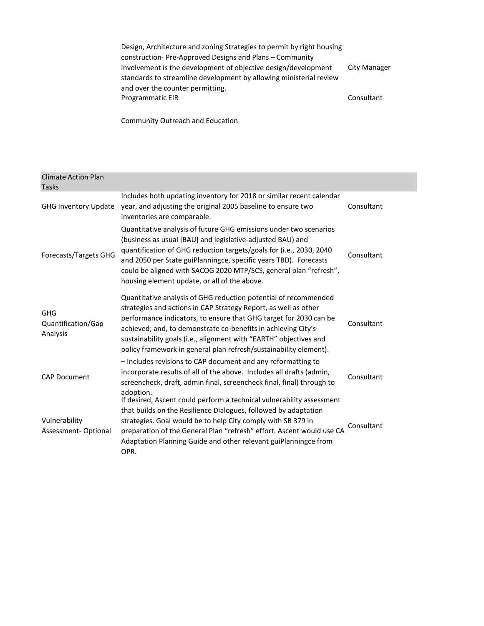Design, Architecture and zoning Strategies to permit by right housing construction- Pre-Approved Designs and Plans – Community involvement is the development of objective design/development standards to streamline development by allowing ministerial review and over the counter permitting. City Manager Programmatic EIR Consultant

Community Outreach and Education

| <b>Climate Action Plan</b>            |                                                                                                                                                                                                                                                                                                                                                                                                                    |            |
|---------------------------------------|--------------------------------------------------------------------------------------------------------------------------------------------------------------------------------------------------------------------------------------------------------------------------------------------------------------------------------------------------------------------------------------------------------------------|------------|
| <b>Tasks</b>                          |                                                                                                                                                                                                                                                                                                                                                                                                                    |            |
| <b>GHG Inventory Update</b>           | Includes both updating inventory for 2018 or similar recent calendar<br>year, and adjusting the original 2005 baseline to ensure two<br>inventories are comparable.                                                                                                                                                                                                                                                | Consultant |
| <b>Forecasts/Targets GHG</b>          | Quantitative analysis of future GHG emissions under two scenarios<br>(business as usual [BAU] and legislative-adjusted BAU) and<br>quantification of GHG reduction targets/goals for (i.e., 2030, 2040<br>and 2050 per State guiPlanningce, specific years TBD). Forecasts<br>could be aligned with SACOG 2020 MTP/SCS, general plan "refresh",<br>housing element update, or all of the above.                    | Consultant |
| GHG<br>Quantification/Gap<br>Analysis | Quantitative analysis of GHG reduction potential of recommended<br>strategies and actions in CAP Strategy Report, as well as other<br>performance indicators, to ensure that GHG target for 2030 can be<br>achieved; and, to demonstrate co-benefits in achieving City's<br>sustainability goals (i.e., alignment with "EARTH" objectives and<br>policy framework in general plan refresh/sustainability element). | Consultant |
| <b>CAP Document</b>                   | - Includes revisions to CAP document and any reformatting to<br>incorporate results of all of the above. Includes all drafts (admin,<br>screencheck, draft, admin final, screencheck final, final) through to<br>adoption.                                                                                                                                                                                         | Consultant |
| Vulnerability<br>Assessment-Optional  | If desired, Ascent could perform a technical vulnerability assessment<br>that builds on the Resilience Dialogues, followed by adaptation<br>strategies. Goal would be to help City comply with SB 379 in<br>preparation of the General Plan "refresh" effort. Ascent would use CA<br>Adaptation Planning Guide and other relevant guiPlanningce from<br>OPR.                                                       | Consultant |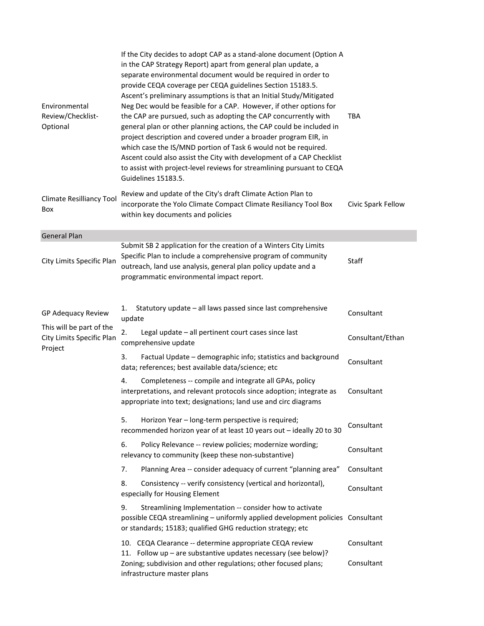| Environmental<br>Review/Checklist-<br>Optional                                         | If the City decides to adopt CAP as a stand-alone document (Option A<br>in the CAP Strategy Report) apart from general plan update, a<br>separate environmental document would be required in order to<br>provide CEQA coverage per CEQA guidelines Section 15183.5.<br>Ascent's preliminary assumptions is that an Initial Study/Mitigated<br>Neg Dec would be feasible for a CAP. However, if other options for<br>the CAP are pursued, such as adopting the CAP concurrently with<br>general plan or other planning actions, the CAP could be included in<br>project description and covered under a broader program EIR, in<br>which case the IS/MND portion of Task 6 would not be required.<br>Ascent could also assist the City with development of a CAP Checklist<br>to assist with project-level reviews for streamlining pursuant to CEQA<br>Guidelines 15183.5. | <b>TBA</b>         |
|----------------------------------------------------------------------------------------|-----------------------------------------------------------------------------------------------------------------------------------------------------------------------------------------------------------------------------------------------------------------------------------------------------------------------------------------------------------------------------------------------------------------------------------------------------------------------------------------------------------------------------------------------------------------------------------------------------------------------------------------------------------------------------------------------------------------------------------------------------------------------------------------------------------------------------------------------------------------------------|--------------------|
| Climate Resilliancy Tool<br>Box                                                        | Review and update of the City's draft Climate Action Plan to<br>incorporate the Yolo Climate Compact Climate Resiliancy Tool Box<br>within key documents and policies                                                                                                                                                                                                                                                                                                                                                                                                                                                                                                                                                                                                                                                                                                       | Civic Spark Fellow |
| <b>General Plan</b>                                                                    |                                                                                                                                                                                                                                                                                                                                                                                                                                                                                                                                                                                                                                                                                                                                                                                                                                                                             |                    |
| City Limits Specific Plan                                                              | Submit SB 2 application for the creation of a Winters City Limits<br>Specific Plan to include a comprehensive program of community<br>outreach, land use analysis, general plan policy update and a<br>programmatic environmental impact report.                                                                                                                                                                                                                                                                                                                                                                                                                                                                                                                                                                                                                            | Staff              |
| GP Adequacy Review<br>This will be part of the<br>City Limits Specific Plan<br>Project | Statutory update - all laws passed since last comprehensive<br>1.<br>update                                                                                                                                                                                                                                                                                                                                                                                                                                                                                                                                                                                                                                                                                                                                                                                                 | Consultant         |
|                                                                                        | 2.<br>Legal update - all pertinent court cases since last<br>comprehensive update                                                                                                                                                                                                                                                                                                                                                                                                                                                                                                                                                                                                                                                                                                                                                                                           | Consultant/Ethan   |
|                                                                                        | 3.<br>Factual Update - demographic info; statistics and background<br>data; references; best available data/science; etc                                                                                                                                                                                                                                                                                                                                                                                                                                                                                                                                                                                                                                                                                                                                                    | Consultant         |
|                                                                                        | 4.<br>Completeness -- compile and integrate all GPAs, policy<br>interpretations, and relevant protocols since adoption; integrate as<br>appropriate into text; designations; land use and circ diagrams                                                                                                                                                                                                                                                                                                                                                                                                                                                                                                                                                                                                                                                                     | Consultant         |
|                                                                                        | 5.<br>Horizon Year - long-term perspective is required;<br>recommended horizon year of at least 10 years out - ideally 20 to 30                                                                                                                                                                                                                                                                                                                                                                                                                                                                                                                                                                                                                                                                                                                                             | Consultant         |
|                                                                                        | 6.<br>Policy Relevance -- review policies; modernize wording;<br>relevancy to community (keep these non-substantive)                                                                                                                                                                                                                                                                                                                                                                                                                                                                                                                                                                                                                                                                                                                                                        | Consultant         |
|                                                                                        | Planning Area -- consider adequacy of current "planning area"<br>7.                                                                                                                                                                                                                                                                                                                                                                                                                                                                                                                                                                                                                                                                                                                                                                                                         | Consultant         |
|                                                                                        | 8.<br>Consistency -- verify consistency (vertical and horizontal),<br>especially for Housing Element                                                                                                                                                                                                                                                                                                                                                                                                                                                                                                                                                                                                                                                                                                                                                                        | Consultant         |
|                                                                                        | 9.<br>Streamlining Implementation -- consider how to activate<br>possible CEQA streamlining - uniformly applied development policies Consultant<br>or standards; 15183; qualified GHG reduction strategy; etc                                                                                                                                                                                                                                                                                                                                                                                                                                                                                                                                                                                                                                                               |                    |
|                                                                                        | 10. CEQA Clearance -- determine appropriate CEQA review<br>11. Follow up - are substantive updates necessary (see below)?                                                                                                                                                                                                                                                                                                                                                                                                                                                                                                                                                                                                                                                                                                                                                   | Consultant         |
|                                                                                        | Zoning; subdivision and other regulations; other focused plans;<br>infrastructure master plans                                                                                                                                                                                                                                                                                                                                                                                                                                                                                                                                                                                                                                                                                                                                                                              | Consultant         |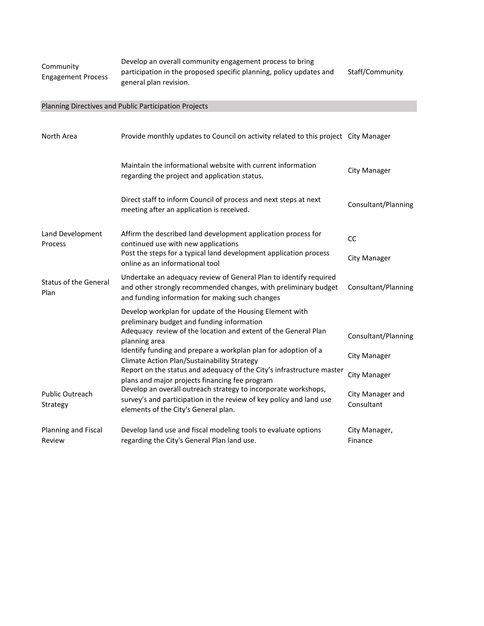| Community<br><b>Engagement Process</b> | Develop an overall community engagement process to bring            |                 |  |
|----------------------------------------|---------------------------------------------------------------------|-----------------|--|
|                                        | participation in the proposed specific planning, policy updates and | Staff/Community |  |
|                                        | general plan revision.                                              |                 |  |

## Planning Directives and Public Participation Projects

| North Area                           | Provide monthly updates to Council on activity related to this project City Manager                                                                                                     |                                |
|--------------------------------------|-----------------------------------------------------------------------------------------------------------------------------------------------------------------------------------------|--------------------------------|
|                                      | Maintain the informational website with current information<br>regarding the project and application status.                                                                            | City Manager                   |
|                                      | Direct staff to inform Council of process and next steps at next<br>meeting after an application is received.                                                                           | Consultant/Planning            |
| Land Development<br>Process          | Affirm the described land development application process for<br>continued use with new applications                                                                                    | cc                             |
|                                      | Post the steps for a typical land development application process<br>online as an informational tool                                                                                    | City Manager                   |
| <b>Status of the General</b><br>Plan | Undertake an adequacy review of General Plan to identify required<br>and other strongly recommended changes, with preliminary budget<br>and funding information for making such changes | Consultant/Planning            |
|                                      | Develop workplan for update of the Housing Element with                                                                                                                                 |                                |
|                                      | preliminary budget and funding information<br>Adequacy review of the location and extent of the General Plan<br>planning area                                                           | Consultant/Planning            |
|                                      | Identify funding and prepare a workplan plan for adoption of a<br><b>Climate Action Plan/Sustainability Strategy</b>                                                                    | City Manager                   |
|                                      | Report on the status and adequacy of the City's infrastructure master<br>plans and major projects financing fee program                                                                 | City Manager                   |
| <b>Public Outreach</b><br>Strategy   | Develop an overall outreach strategy to incorporate workshops,<br>survey's and participation in the review of key policy and land use<br>elements of the City's General plan.           | City Manager and<br>Consultant |
| Planning and Fiscal<br>Review        | Develop land use and fiscal modeling tools to evaluate options<br>regarding the City's General Plan land use.                                                                           | City Manager,<br>Finance       |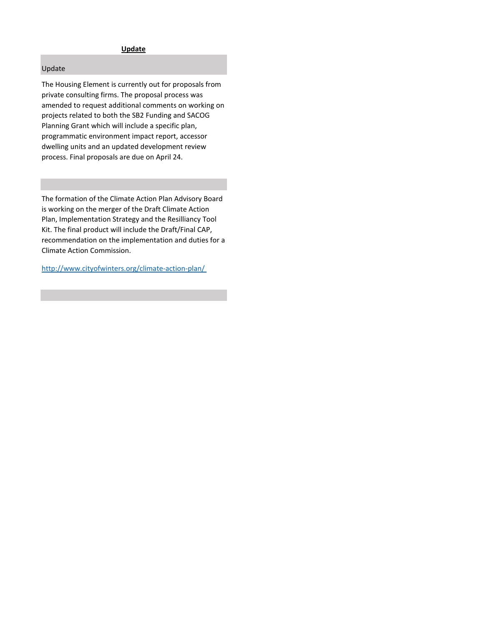## **Update**

## Update

The Housing Element is currently out for proposals from private consulting firms. The proposal process was amended to request additional comments on working on projects related to both the SB2 Funding and SACOG Planning Grant which will include a specific plan, programmatic environment impact report, accessor dwelling units and an updated development review process. Final proposals are due on April 24.

The formation of the Climate Action Plan Advisory Board is working on the merger of the Draft Climate Action Plan, Implementation Strategy and the Resilliancy Tool Kit. The final product will include the Draft/Final CAP, recommendation on the implementation and duties for a Climate Action Commission.

<http://www.cityofwinters.org/climate-action-plan/>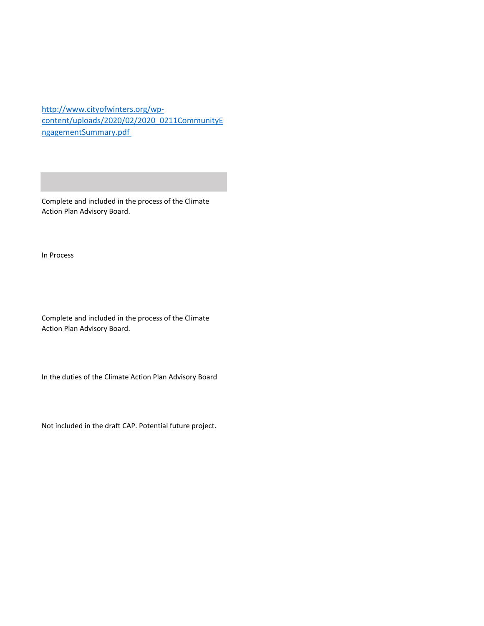[http://www.cityofwinters.org/wp](http://www.cityofwinters.org/wp-content/uploads/2020/02/2020_0211CommunityEngagementSummary.pdf)[content/uploads/2020/02/2020\\_0211CommunityE](http://www.cityofwinters.org/wp-content/uploads/2020/02/2020_0211CommunityEngagementSummary.pdf) [ngagementSummary.pdf](http://www.cityofwinters.org/wp-content/uploads/2020/02/2020_0211CommunityEngagementSummary.pdf) 

Complete and included in the process of the Climate Action Plan Advisory Board.

In Process

Complete and included in the process of the Climate Action Plan Advisory Board.

In the duties of the Climate Action Plan Advisory Board

Not included in the draft CAP. Potential future project.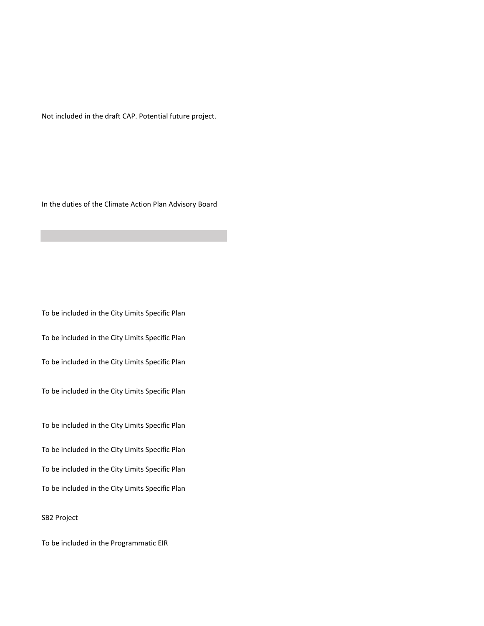Not included in the draft CAP. Potential future project.

In the duties of the Climate Action Plan Advisory Board

To be included in the City Limits Specific Plan

To be included in the City Limits Specific Plan

To be included in the City Limits Specific Plan

To be included in the City Limits Specific Plan

To be included in the City Limits Specific Plan

To be included in the City Limits Specific Plan

To be included in the City Limits Specific Plan

To be included in the City Limits Specific Plan

SB2 Project

To be included in the Programmatic EIR